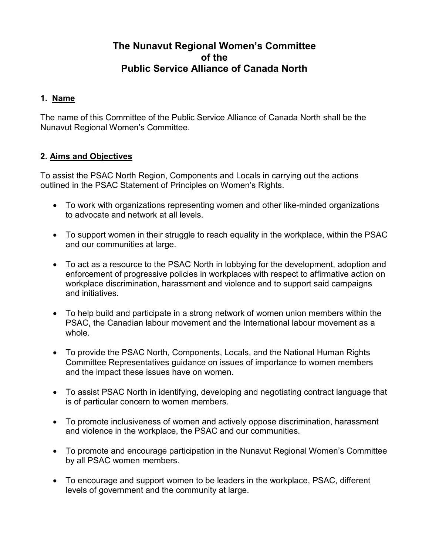# **The Nunavut Regional Women's Committee of the Public Service Alliance of Canada North**

# **1. Name**

The name of this Committee of the Public Service Alliance of Canada North shall be the Nunavut Regional Women's Committee.

# **2. Aims and Objectives**

To assist the PSAC North Region, Components and Locals in carrying out the actions outlined in the PSAC Statement of Principles on Women's Rights.

- To work with organizations representing women and other like-minded organizations to advocate and network at all levels.
- To support women in their struggle to reach equality in the workplace, within the PSAC and our communities at large.
- To act as a resource to the PSAC North in lobbying for the development, adoption and enforcement of progressive policies in workplaces with respect to affirmative action on workplace discrimination, harassment and violence and to support said campaigns and initiatives.
- To help build and participate in a strong network of women union members within the PSAC, the Canadian labour movement and the International labour movement as a whole.
- To provide the PSAC North, Components, Locals, and the National Human Rights Committee Representatives guidance on issues of importance to women members and the impact these issues have on women.
- To assist PSAC North in identifying, developing and negotiating contract language that is of particular concern to women members.
- To promote inclusiveness of women and actively oppose discrimination, harassment and violence in the workplace, the PSAC and our communities.
- To promote and encourage participation in the Nunavut Regional Women's Committee by all PSAC women members.
- To encourage and support women to be leaders in the workplace, PSAC, different levels of government and the community at large.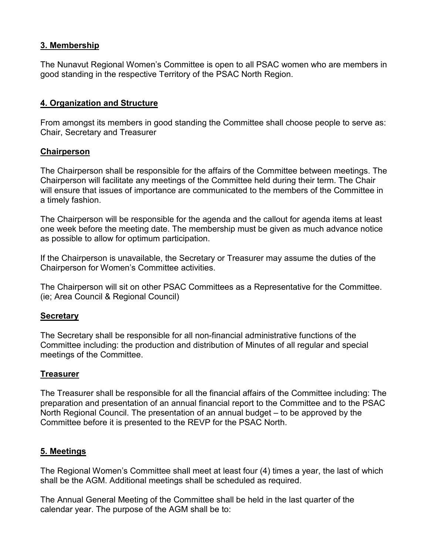# **3. Membership**

The Nunavut Regional Women's Committee is open to all PSAC women who are members in good standing in the respective Territory of the PSAC North Region.

# **4. Organization and Structure**

From amongst its members in good standing the Committee shall choose people to serve as: Chair, Secretary and Treasurer

### **Chairperson**

The Chairperson shall be responsible for the affairs of the Committee between meetings. The Chairperson will facilitate any meetings of the Committee held during their term. The Chair will ensure that issues of importance are communicated to the members of the Committee in a timely fashion.

The Chairperson will be responsible for the agenda and the callout for agenda items at least one week before the meeting date. The membership must be given as much advance notice as possible to allow for optimum participation.

If the Chairperson is unavailable, the Secretary or Treasurer may assume the duties of the Chairperson for Women's Committee activities.

The Chairperson will sit on other PSAC Committees as a Representative for the Committee. (ie; Area Council & Regional Council)

### **Secretary**

The Secretary shall be responsible for all non-financial administrative functions of the Committee including: the production and distribution of Minutes of all regular and special meetings of the Committee.

### **Treasurer**

The Treasurer shall be responsible for all the financial affairs of the Committee including: The preparation and presentation of an annual financial report to the Committee and to the PSAC North Regional Council. The presentation of an annual budget – to be approved by the Committee before it is presented to the REVP for the PSAC North.

### **5. Meetings**

The Regional Women's Committee shall meet at least four (4) times a year, the last of which shall be the AGM. Additional meetings shall be scheduled as required.

The Annual General Meeting of the Committee shall be held in the last quarter of the calendar year. The purpose of the AGM shall be to: